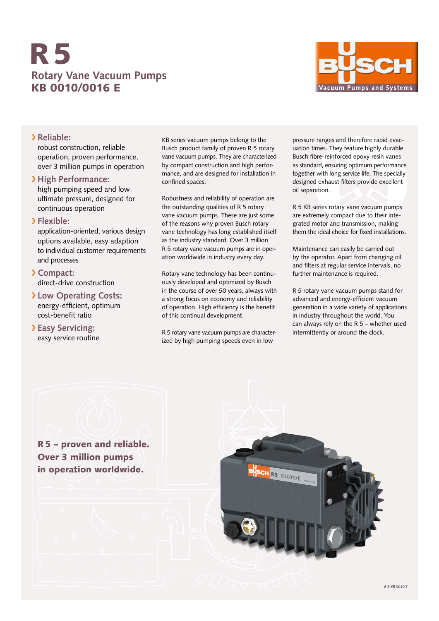# **Rotary Vane Vacuum Pumps** KB 0010/0016 E R5



## › **Reliable:**

robust construction, reliable operation, proven performance, over 3 million pumps in operation

## › **High Performance:**

high pumping speed and low ultimate pressure, designed for continuous operation

## › **Flexible:**

application-oriented, various design options available, easy adaption to individual customer requirements and processes

### › **Compact:** direct-drive construction

› **Low Operating Costs:** energy-efficient, optimum cost-benefit ratio

## › **Easy Servicing:** easy service routine

KB series vacuum pumps belong to the Busch product family of proven R 5 rotary vane vacuum pumps. They are characterized by compact construction and high performance, and are designed for installation in confined spaces.

Robustness and reliability of operation are the outstanding qualities of R 5 rotary vane vacuum pumps. These are just some of the reasons why proven Busch rotary vane technology has long established itself as the industry standard. Over 3 million R 5 rotary vane vacuum pumps are in operation worldwide in industry every day.

Rotary vane technology has been continuously developed and optimized by Busch in the course of over 50 years, always with a strong focus on economy and reliability of operation. High efficiency is the benefit of this continual development.

R 5 rotary vane vacuum pumps are characterized by high pumping speeds even in low

pressure ranges and therefore rapid evacuation times. They feature highly durable Busch fibre-reinforced epoxy resin vanes as standard, ensuring optimum performance together with long service life. The specially designed exhaust filters provide excellent oil separation.

R 5 KB series rotary vane vacuum pumps are extremely compact due to their integrated motor and transmission, making them the ideal choice for fixed installations.

Maintenance can easily be carried out by the operator. Apart from changing oil and filters at regular service intervals, no further maintenance is required.

R 5 rotary vane vacuum pumps stand for advanced and energy-efficient vacuum generation in a wide variety of applications in industry throughout the world. You can always rely on the R 5 – whether used intermittently or around the clock.

R5 – proven and reliable. Over 3 million pumps in operation worldwide.